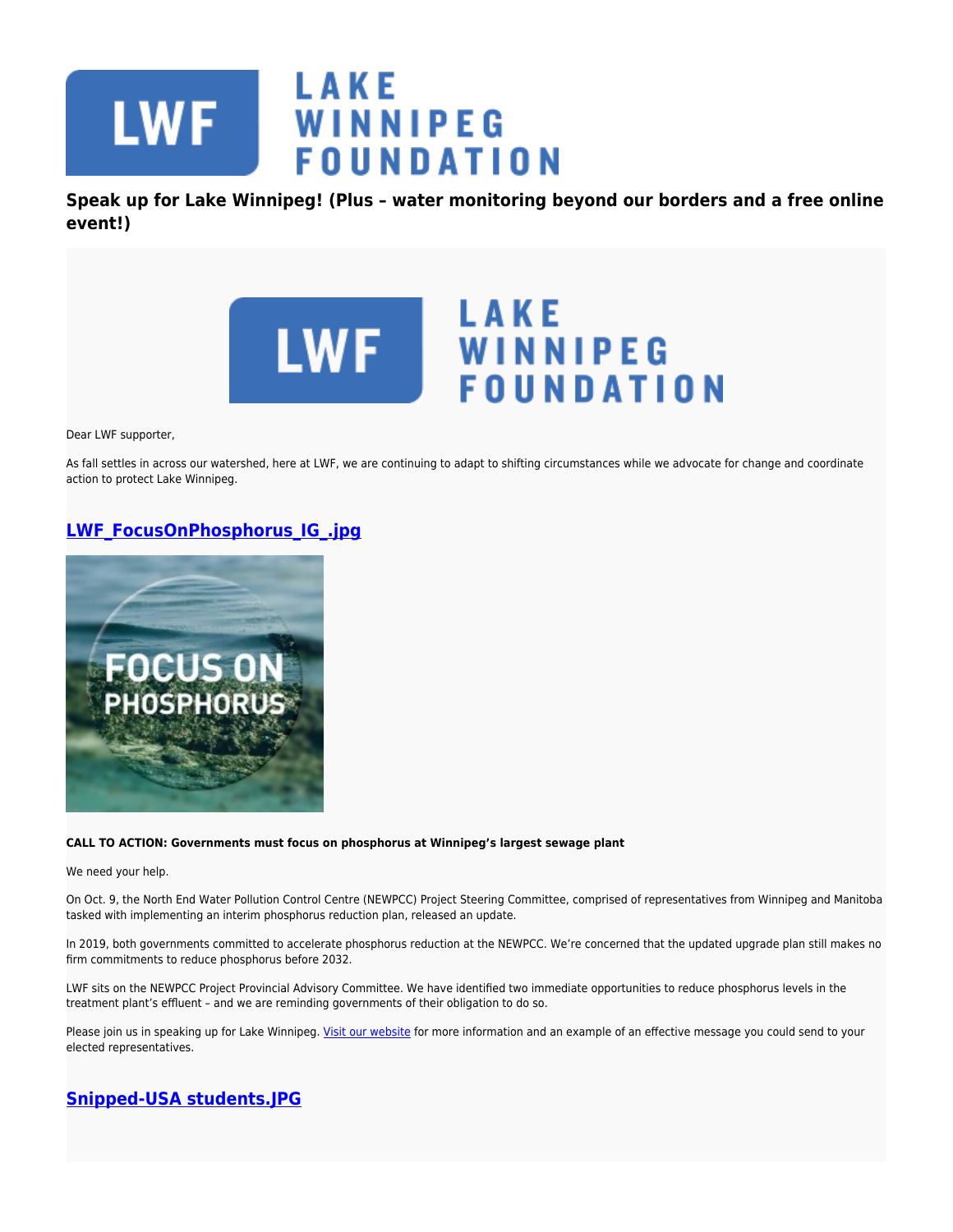

**Speak up for Lake Winnipeg! (Plus – water monitoring beyond our borders and a free online event!)**



Dear LWF supporter,

As fall settles in across our watershed, here at LWF, we are continuing to adapt to shifting circumstances while we advocate for change and coordinate action to protect Lake Winnipeg.

## **[LWF\\_FocusOnPhosphorus\\_IG\\_.jpg](https://lakewinnipegfoundation.org/file/lwffocusonphosphorusigjpg)**



### **CALL TO ACTION: Governments must focus on phosphorus at Winnipeg's largest sewage plant**

We need your help.

On Oct. 9, the North End Water Pollution Control Centre (NEWPCC) Project Steering Committee, comprised of representatives from Winnipeg and Manitoba tasked with implementing an interim phosphorus reduction plan, released an update.

In 2019, both governments committed to accelerate phosphorus reduction at the NEWPCC. We're concerned that the updated upgrade plan still makes no firm commitments to reduce phosphorus before 2032.

LWF sits on the NEWPCC Project Provincial Advisory Committee. We have identified two immediate opportunities to reduce phosphorus levels in the treatment plant's effluent – and we are reminding governments of their obligation to do so.

Please join us in speaking up for Lake Winnipeg. [Visit our website](https://www.lakewinnipegfoundation.org/news/call-action-governments-focus-phosphorus-winnipeg%E2%80%99-largest-sewage) for more information and an example of an effective message you could send to your elected representatives.

# **[Snipped-USA students.JPG](https://lakewinnipegfoundation.org/file/snipped-usa-studentsjpg)**